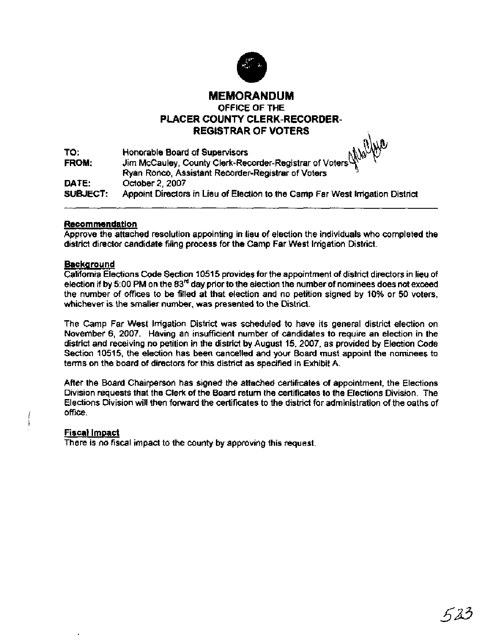

# **MEMORANDUM OFFICE OF THE PLACER COUNTY CLERK-RECORDER-REGISTRAR OF VOTERS** i

| TO:          |                                                                                           |
|--------------|-------------------------------------------------------------------------------------------|
| <b>FROM:</b> | Honorable Board of Supervisors<br>Jim McCauley, County Clerk-Recorder-Registrar of Voters |
|              | Ryan Ronco, Assistant Recorder-Registrar of Voters                                        |
| DATE:        | October 2, 2007                                                                           |
| SUBJECT:     | Appoint Directors in Lieu of Election to the Camp Far West Irrigation District            |

### **Recommendation**

Approve the attached resolution appointing in lieu of election the individuals who completed the district director candidate filing process for the Camp Far West lrrigation District.

#### **Backaround**

California Elections Code Section 10515 provides for the appointment of district directors in lieu of election if by 5:00 PM on the 83<sup>rd</sup> day prior to the election the number of nominees does not exceed the number of offices to be filled at that election and no petition signed by 10% or 50 voters, whichever is the smaller number, was presented to the District.

The Camp Far West Irrigation District was scheduled to have its general district election on November 6, 2007. Having an insufficient number of candidates to require an election in the district and receiving no petition in the district by August 15, 2007, as provided by Election Code Section 10515, the election has been cancelled and your Board must appoint the nominees to terms on the board of directors for this district as specified in Exhibit A.

After the Board Chairperson has signed the attached certificates of appointment, the Elections Division requests that the Clerk of the Board return the certificates to the Elections Division. The Elections Division will then forward the certificates to the district for administration of the oaths of / office.

#### **Fiscal Impact**

I

There is no fiscal impact to the county by approving this request.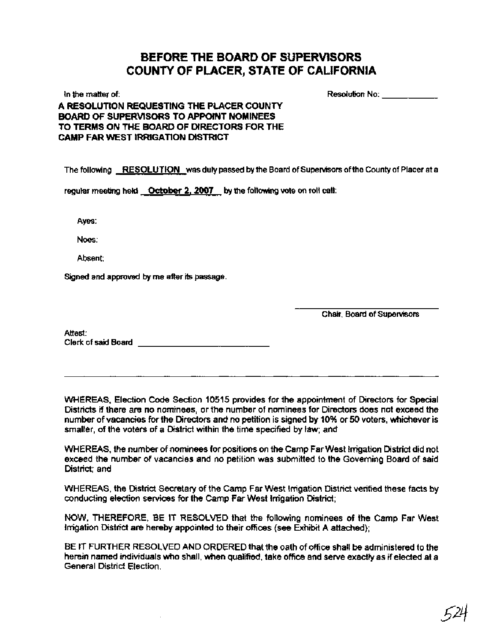# **BEFORE THE BOARD OF SUPERWSORS COUNTY OF PLACER, STATE OF CALIFORNIA**

In the matter of:  $\blacksquare$  Resolution No: **A RESOLUTION REQUESTING THE PLACER COUNTY BOARD OF SUPERVISORS TO APPOINT NOMINEES TO TERMS ON THE BOARD OF DIRECTORS FOR THE CAMP FAR WEST IRRIGATION DISTRICT** 

The following **RESOLUTION was** duly **passed** by the Board of Supenrisors of the County of Placer at a

regular meeting held **October 2, 2007** by the following vote on roll call:

Ayes:

**Noes:** 

Absent:

Signed and approved by me after its passage.

Chair, Board of Supervisors

Attest: Clerk of said Board

WHEREAS, Election Code Section 10515 provides for the appointment of Directors for Special Districts if there are no nominees, or the number of nominees for Directors does not exceed the number of vacancies for the Directors and no petition is signed by 10% or **50** voters, whichever is smaller, of the voters of a District within the time specified by law; and

WHEREAS, the number of nominees for positions on the Camp far West Irrigation District did not exceed the number of vacancies and no petition was submitted to the Governing Board of said District; and

WHEREAS, the District Secretary of the Camp Far West lrrigation District verified these facts by conduding election setvices for **the** Camp Far West Irrigation Distrid;

NOW, THEREFORE, BE IT RESOLVED that the following nominees of the Camp Far West Irrigation District are hereby appointed to their offices (see Exhibit A attached);

BE IT FURTHER RESOLVED AND ORDERED that the oath of office shall be administered to the herein named individuals who shall, **when** qualified, take office and setve exactly as if elected at a General District Election.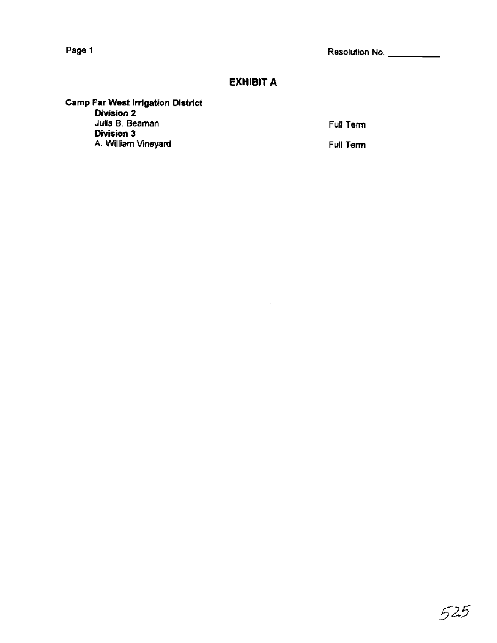Resolution No.

### **EXHIBIT A**

 $\bar{\mathcal{A}}$ 

### **Camp Far West lmgation District**

**Division** 2 Julia B. Beaman Division 3 A. William Vineyard

Full Term

Full Term

Page 1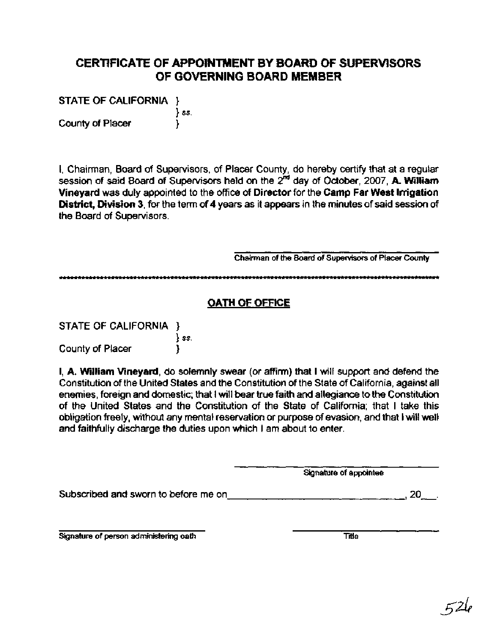# **CERTIFICATE OF APPOINTMENT BY BOARD OF SUPERVISORS OF GOVERNING BOARD MEMBER**

STATE OF CALIFORNIA }

) **ss.** 

County of Placer  $\}$ 

I, Chairman, Board of Supervisors, of Placer County, do hereby certify that at a regular session of said Board of Supervisors **held** on the **2"d** day of Odober, 2007, A. William Vineyard was duly appointed to the office of Director for the Camp Far West Irrigation **District, Division** 3, for **the** tern of 4 years as it appears in the minutes of said **session** of the Board of Supervisors.

**Chaimn of the Board of Supenrisors of Placer County** 

\*\*\*\*\*\*\*\*\*\*\*\*\*\*\*\*\*\*\*\*\*\*

### **OATH OF OFFICE**

STATE OF CALIFORNIA } ) **ss.**  County of Placer

1, A. William Vineyard, do solemnly swear (or affirm) that I will support and defend the Constitution of the United States and the Constitution of the State of California, against all enemies, foreign and domestic; that I will bear true faith and allegiance to the Constitution of the United States and the Constitution of the State of California; that I take this obligation freely, without any mental reservation or purpose of evasion, and that I **will** well and faithfully discharge the duties upon which I am about to enter.

**Signature of appointee** 

Subscribed and sworn to before me on *, <b>1990* **,**  *20* ... *, 20* 

**Signature of person administering oath** 

Title